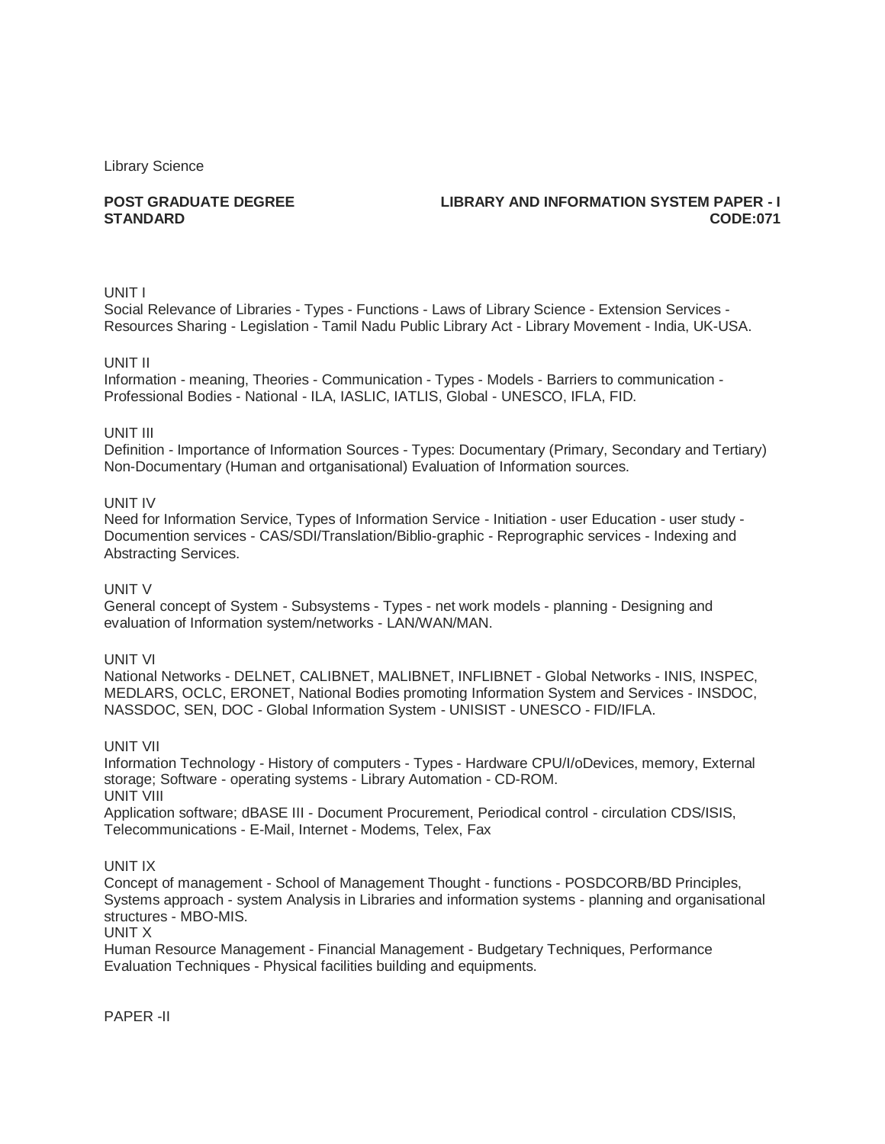Library Science

# **POST GRADUATE DEGREE STANDARD**

# **LIBRARY AND INFORMATION SYSTEM PAPER - I CODE:071**

# UNIT I

Social Relevance of Libraries - Types - Functions - Laws of Library Science - Extension Services - Resources Sharing - Legislation - Tamil Nadu Public Library Act - Library Movement - India, UK-USA.

### UNIT II

Information - meaning, Theories - Communication - Types - Models - Barriers to communication - Professional Bodies - National - ILA, IASLIC, IATLIS, Global - UNESCO, IFLA, FID.

### UNIT III

Definition - Importance of Information Sources - Types: Documentary (Primary, Secondary and Tertiary) Non-Documentary (Human and ortganisational) Evaluation of Information sources.

### UNIT IV

Need for Information Service, Types of Information Service - Initiation - user Education - user study - Documention services - CAS/SDI/Translation/Biblio-graphic - Reprographic services - Indexing and Abstracting Services.

## UNIT V

General concept of System - Subsystems - Types - net work models - planning - Designing and evaluation of Information system/networks - LAN/WAN/MAN.

### UNIT VI

National Networks - DELNET, CALIBNET, MALIBNET, INFLIBNET - Global Networks - INIS, INSPEC, MEDLARS, OCLC, ERONET, National Bodies promoting Information System and Services - INSDOC, NASSDOC, SEN, DOC - Global Information System - UNISIST - UNESCO - FID/IFLA.

## UNIT VII

Information Technology - History of computers - Types - Hardware CPU/I/oDevices, memory, External storage; Software - operating systems - Library Automation - CD-ROM. UNIT VIII Application software; dBASE III - Document Procurement, Periodical control - circulation CDS/ISIS,

Telecommunications - E-Mail, Internet - Modems, Telex, Fax

# UNIT IX

Concept of management - School of Management Thought - functions - POSDCORB/BD Principles, Systems approach - system Analysis in Libraries and information systems - planning and organisational structures - MBO-MIS.

#### UNIT X

Human Resource Management - Financial Management - Budgetary Techniques, Performance Evaluation Techniques - Physical facilities building and equipments.

PAPER -II